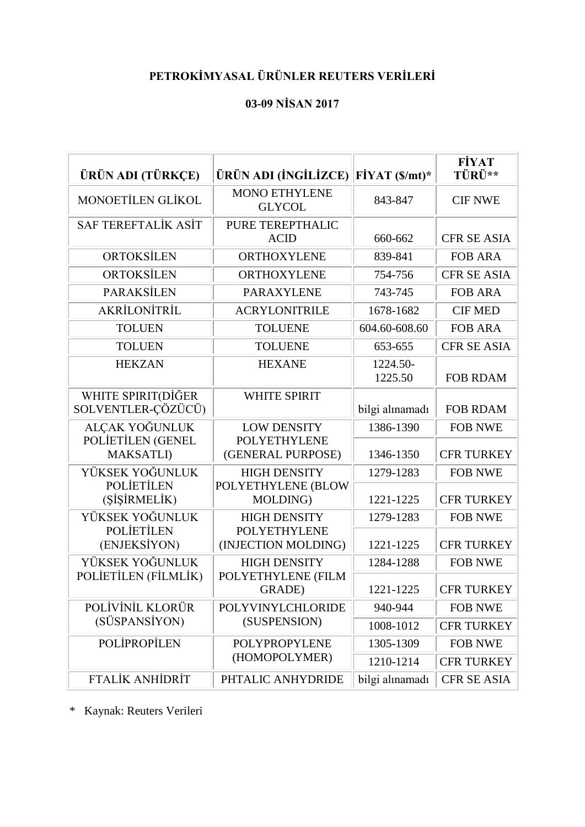## **PETROKİMYASAL ÜRÜNLER REUTERS VERİLERİ**

## **03-09 NİSAN 2017**

| ÜRÜN ADI (TÜRKÇE)                        | ÜRÜN ADI (İNGİLİZCE)                       | $FiYAT(S/mt)^*$     | <b>FİYAT</b><br>TÜRÜ** |
|------------------------------------------|--------------------------------------------|---------------------|------------------------|
| MONOETILEN GLIKOL                        | <b>MONO ETHYLENE</b><br><b>GLYCOL</b>      | 843-847             | <b>CIF NWE</b>         |
| <b>SAF TEREFTALIK ASIT</b>               | PURE TEREPTHALIC<br><b>ACID</b>            | 660-662             | <b>CFR SE ASIA</b>     |
| ORTOKSİLEN                               | <b>ORTHOXYLENE</b><br>839-841              |                     | <b>FOB ARA</b>         |
| ORTOKSİLEN                               | <b>ORTHOXYLENE</b>                         | 754-756             | <b>CFR SE ASIA</b>     |
| <b>PARAKSİLEN</b>                        | <b>PARAXYLENE</b>                          | 743-745             | <b>FOB ARA</b>         |
| AKRİLONİTRİL                             | <b>ACRYLONITRILE</b>                       | 1678-1682           | <b>CIF MED</b>         |
| <b>TOLUEN</b>                            | <b>TOLUENE</b>                             | 604.60-608.60       | <b>FOB ARA</b>         |
| <b>TOLUEN</b>                            | <b>TOLUENE</b>                             | 653-655             | <b>CFR SE ASIA</b>     |
| <b>HEKZAN</b>                            | <b>HEXANE</b>                              | 1224.50-<br>1225.50 | <b>FOB RDAM</b>        |
| WHITE SPIRIT(DİĞER<br>SOLVENTLER-ÇÖZÜCÜ) | <b>WHITE SPIRIT</b>                        | bilgi alınamadı     | <b>FOB RDAM</b>        |
| ALÇAK YOĞUNLUK                           | <b>LOW DENSITY</b>                         | 1386-1390           | <b>FOB NWE</b>         |
| POLIETILEN (GENEL<br><b>MAKSATLI</b> )   | <b>POLYETHYLENE</b><br>(GENERAL PURPOSE)   | 1346-1350           | <b>CFR TURKEY</b>      |
| YÜKSEK YOĞUNLUK                          | <b>HIGH DENSITY</b>                        | 1279-1283           | <b>FOB NWE</b>         |
| <b>POLIETILEN</b><br>(ŞİŞİRMELİK)        | POLYETHYLENE (BLOW<br>MOLDING)             | 1221-1225           | <b>CFR TURKEY</b>      |
| YÜKSEK YOĞUNLUK                          | <b>HIGH DENSITY</b>                        | 1279-1283           | <b>FOB NWE</b>         |
| <b>POLIETILEN</b><br>(ENJEKSİYON)        | <b>POLYETHYLENE</b><br>(INJECTION MOLDING) | 1221-1225           | <b>CFR TURKEY</b>      |
| YÜKSEK YOĞUNLUK                          | <b>HIGH DENSITY</b>                        | 1284-1288           | <b>FOB NWE</b>         |
| POLIETILEN (FİLMLİK)                     | POLYETHYLENE (FILM<br><b>GRADE</b> )       | 1221-1225           | <b>CFR TURKEY</b>      |
| POLIVINIL KLORÜR                         | POLYVINYLCHLORIDE                          | 940-944             | <b>FOB NWE</b>         |
| (SÜSPANSİYON)                            | (SUSPENSION)                               | 1008-1012           | <b>CFR TURKEY</b>      |
| POLIPROPILEN                             | POLYPROPYLENE                              | 1305-1309           | <b>FOB NWE</b>         |
| (HOMOPOLYMER)                            |                                            | 1210-1214           | <b>CFR TURKEY</b>      |
| <b>FTALİK ANHİDRİT</b>                   | PHTALIC ANHYDRIDE                          | bilgi alınamadı     | <b>CFR SE ASIA</b>     |

\* Kaynak: Reuters Verileri